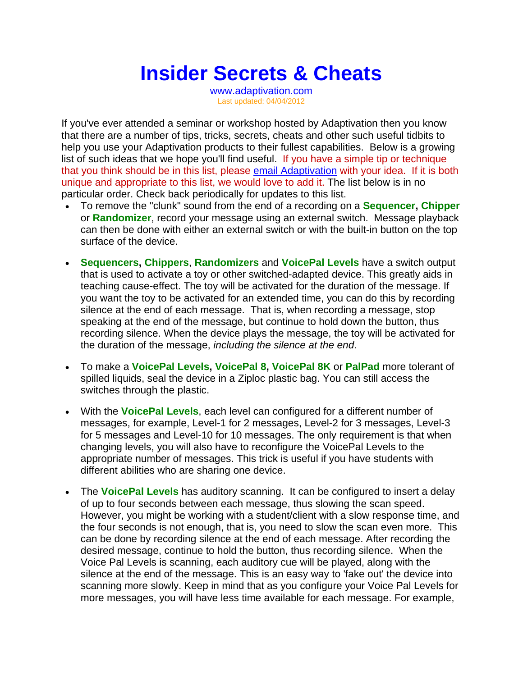## **Insider Secrets & Cheats**

www.adaptivation.com Last updated: 04/04/2012

If you've ever attended a seminar or workshop hosted by Adaptivation then you know that there are a number of tips, tricks, secrets, cheats and other such useful tidbits to help you use your Adaptivation products to their fullest capabilities. Below is a growing list of such ideas that we hope you'll find useful. If you have a simple tip or technique that you think should be in this list, please email Adaptivation with your idea. If it is both unique and appropriate to this list, we would love to add it. The list below is in no particular order. Check back periodically for updates to this list.

- To remove the "clunk" sound from the end of a recording on a **Sequencer, Chipper** or **Randomizer**, record your message using an external switch. Message playback can then be done with either an external switch or with the built-in button on the top surface of the device.
- **Sequencers, Chippers**, **Randomizers** and **VoicePal Levels** have a switch output that is used to activate a toy or other switched-adapted device. This greatly aids in teaching cause-effect. The toy will be activated for the duration of the message. If you want the toy to be activated for an extended time, you can do this by recording silence at the end of each message. That is, when recording a message, stop speaking at the end of the message, but continue to hold down the button, thus recording silence. When the device plays the message, the toy will be activated for the duration of the message, *including the silence at the end*.
- To make a **VoicePal Levels, VoicePal 8, VoicePal 8K** or **PalPad** more tolerant of spilled liquids, seal the device in a Ziploc plastic bag. You can still access the switches through the plastic.
- With the **VoicePal Levels**, each level can configured for a different number of messages, for example, Level-1 for 2 messages, Level-2 for 3 messages, Level-3 for 5 messages and Level-10 for 10 messages. The only requirement is that when changing levels, you will also have to reconfigure the VoicePal Levels to the appropriate number of messages. This trick is useful if you have students with different abilities who are sharing one device.
- The **VoicePal Levels** has auditory scanning. It can be configured to insert a delay of up to four seconds between each message, thus slowing the scan speed. However, you might be working with a student/client with a slow response time, and the four seconds is not enough, that is, you need to slow the scan even more. This can be done by recording silence at the end of each message. After recording the desired message, continue to hold the button, thus recording silence. When the Voice Pal Levels is scanning, each auditory cue will be played, along with the silence at the end of the message. This is an easy way to 'fake out' the device into scanning more slowly. Keep in mind that as you configure your Voice Pal Levels for more messages, you will have less time available for each message. For example,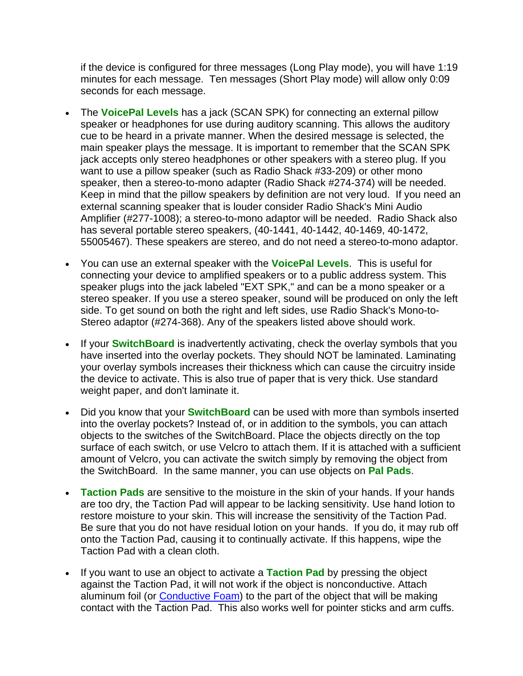if the device is configured for three messages (Long Play mode), you will have 1:19 minutes for each message. Ten messages (Short Play mode) will allow only 0:09 seconds for each message.

- The **VoicePal Levels** has a jack (SCAN SPK) for connecting an external pillow speaker or headphones for use during auditory scanning. This allows the auditory cue to be heard in a private manner. When the desired message is selected, the main speaker plays the message. It is important to remember that the SCAN SPK jack accepts only stereo headphones or other speakers with a stereo plug. If you want to use a pillow speaker (such as Radio Shack #33-209) or other mono speaker, then a stereo-to-mono adapter (Radio Shack #274-374) will be needed. Keep in mind that the pillow speakers by definition are not very loud. If you need an external scanning speaker that is louder consider Radio Shack's Mini Audio Amplifier (#277-1008); a stereo-to-mono adaptor will be needed. Radio Shack also has several portable stereo speakers, (40-1441, 40-1442, 40-1469, 40-1472, 55005467). These speakers are stereo, and do not need a stereo-to-mono adaptor.
- You can use an external speaker with the **VoicePal Levels**. This is useful for connecting your device to amplified speakers or to a public address system. This speaker plugs into the jack labeled "EXT SPK," and can be a mono speaker or a stereo speaker. If you use a stereo speaker, sound will be produced on only the left side. To get sound on both the right and left sides, use Radio Shack's Mono-to-Stereo adaptor (#274-368). Any of the speakers listed above should work.
- If your **SwitchBoard** is inadvertently activating, check the overlay symbols that you have inserted into the overlay pockets. They should NOT be laminated. Laminating your overlay symbols increases their thickness which can cause the circuitry inside the device to activate. This is also true of paper that is very thick. Use standard weight paper, and don't laminate it.
- Did you know that your **SwitchBoard** can be used with more than symbols inserted into the overlay pockets? Instead of, or in addition to the symbols, you can attach objects to the switches of the SwitchBoard. Place the objects directly on the top surface of each switch, or use Velcro to attach them. If it is attached with a sufficient amount of Velcro, you can activate the switch simply by removing the object from the SwitchBoard. In the same manner, you can use objects on **Pal Pads**.
- **Taction Pads** are sensitive to the moisture in the skin of your hands. If your hands are too dry, the Taction Pad will appear to be lacking sensitivity. Use hand lotion to restore moisture to your skin. This will increase the sensitivity of the Taction Pad. Be sure that you do not have residual lotion on your hands. If you do, it may rub off onto the Taction Pad, causing it to continually activate. If this happens, wipe the Taction Pad with a clean cloth.
- If you want to use an object to activate a **Taction Pad** by pressing the object against the Taction Pad, it will not work if the object is nonconductive. Attach aluminum foil (or Conductive Foam) to the part of the object that will be making contact with the Taction Pad. This also works well for pointer sticks and arm cuffs.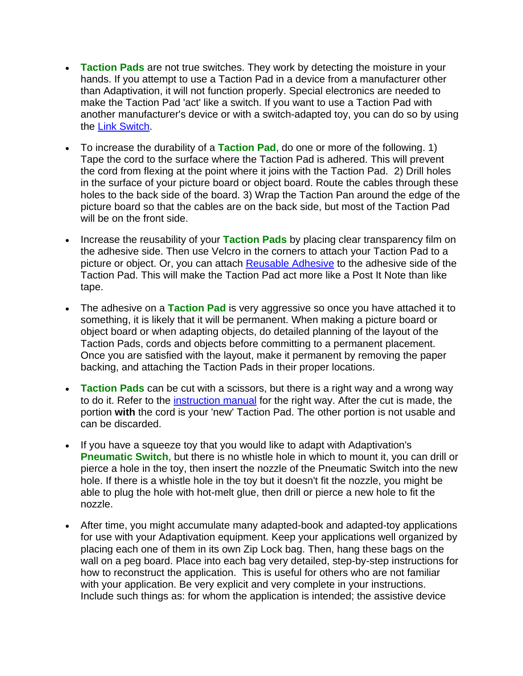- **Taction Pads** are not true switches. They work by detecting the moisture in your hands. If you attempt to use a Taction Pad in a device from a manufacturer other than Adaptivation, it will not function properly. Special electronics are needed to make the Taction Pad 'act' like a switch. If you want to use a Taction Pad with another manufacturer's device or with a switch-adapted toy, you can do so by using the Link Switch.
- To increase the durability of a **Taction Pad**, do one or more of the following. 1) Tape the cord to the surface where the Taction Pad is adhered. This will prevent the cord from flexing at the point where it joins with the Taction Pad. 2) Drill holes in the surface of your picture board or object board. Route the cables through these holes to the back side of the board. 3) Wrap the Taction Pan around the edge of the picture board so that the cables are on the back side, but most of the Taction Pad will be on the front side.
- Increase the reusability of your **Taction Pads** by placing clear transparency film on the adhesive side. Then use Velcro in the corners to attach your Taction Pad to a picture or object. Or, you can attach Reusable Adhesive to the adhesive side of the Taction Pad. This will make the Taction Pad act more like a Post It Note than like tape.
- The adhesive on a **Taction Pad** is very aggressive so once you have attached it to something, it is likely that it will be permanent. When making a picture board or object board or when adapting objects, do detailed planning of the layout of the Taction Pads, cords and objects before committing to a permanent placement. Once you are satisfied with the layout, make it permanent by removing the paper backing, and attaching the Taction Pads in their proper locations.
- **Taction Pads** can be cut with a scissors, but there is a right way and a wrong way to do it. Refer to the instruction manual for the right way. After the cut is made, the portion **with** the cord is your 'new' Taction Pad. The other portion is not usable and can be discarded.
- If you have a squeeze toy that you would like to adapt with Adaptivation's **Pneumatic Switch**, but there is no whistle hole in which to mount it, you can drill or pierce a hole in the toy, then insert the nozzle of the Pneumatic Switch into the new hole. If there is a whistle hole in the toy but it doesn't fit the nozzle, you might be able to plug the hole with hot-melt glue, then drill or pierce a new hole to fit the nozzle.
- After time, you might accumulate many adapted-book and adapted-toy applications for use with your Adaptivation equipment. Keep your applications well organized by placing each one of them in its own Zip Lock bag. Then, hang these bags on the wall on a peg board. Place into each bag very detailed, step-by-step instructions for how to reconstruct the application. This is useful for others who are not familiar with your application. Be very explicit and very complete in your instructions. Include such things as: for whom the application is intended; the assistive device